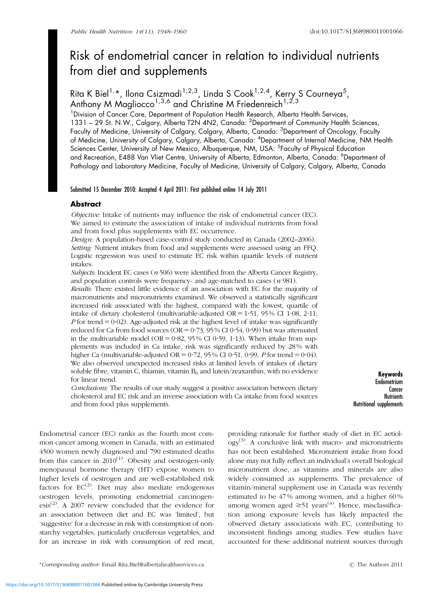# Risk of endometrial cancer in relation to individual nutrients from diet and supplements

Rita K Biel<sup>1,</sup>\*, Ilona Csizmadi<sup>1,2,3</sup>, Linda S Cook<sup>1,2,4</sup>, Kerry S Courneya<sup>5</sup>, Anthony M Magliocco<sup>1,3,6</sup> and Christine M Friedenreich<sup>1,2</sup>

<sup>1</sup> Division of Cancer Care, Department of Population Health Research, Alberta Health Services, 1331 - 29 St. N.W., Calgary, Alberta T2N 4N2, Canada: <sup>2</sup>Department of Community Health Sciences, Faculty of Medicine, University of Calgary, Calgary, Alberta, Canada: <sup>3</sup>Department of Oncology, Faculty of Medicine, University of Calgary, Calgary, Alberta, Canada: <sup>4</sup>Department of Internal Medicine, NM Health Sciences Center, University of New Mexico, Albuquerque, NM, USA: <sup>5</sup>Faculty of Physical Education and Recreation, E488 Van Vliet Centre, University of Alberta, Edmonton, Alberta, Canada: <sup>6</sup>Department of Pathology and Laboratory Medicine, Faculty of Medicine, University of Calgary, Calgary, Alberta, Canada

Submitted 15 December 2010: Accepted 4 April 2011: First published online 14 July 2011

## Abstract

Objective: Intake of nutrients may influence the risk of endometrial cancer (EC). We aimed to estimate the association of intake of individual nutrients from food and from food plus supplements with EC occurrence.

Design: A population-based case–control study conducted in Canada (2002–2006). Setting: Nutrient intakes from food and supplements were assessed using an FFQ. Logistic regression was used to estimate EC risk within quartile levels of nutrient intakes.

Subjects: Incident EC cases ( $n$  506) were identified from the Alberta Cancer Registry, and population controls were frequency- and age-matched to cases (n 981).

Results: There existed little evidence of an association with EC for the majority of macronutrients and micronutrients examined. We observed a statistically significant increased risk associated with the highest, compared with the lowest, quartile of intake of dietary cholesterol (multivariable-adjusted  $OR = 1.51$ , 95% CI 1.08, 2.11; P for trend  $= 0.02$ ). Age-adjusted risk at the highest level of intake was significantly reduced for Ca from food sources ( $OR = 0.73$ ,  $95\%$  CI  $0.54$ ,  $0.99$ ) but was attenuated in the multivariable model (OR =  $0.82$ ,  $95\%$  CI  $0.59$ , 1 $\cdot$ 13). When intake from supplements was included in Ca intake, risk was significantly reduced by 28 % with higher Ca (multivariable-adjusted OR =  $0.72$ , 95 % CI 0.51, 0.99, P for trend =  $0.04$ ). We also observed unexpected increased risks at limited levels of intakes of dietary soluble fibre, vitamin C, thiamin, vitamin  $B_6$  and lutein/zeaxanthin, with no evidence for linear trend.

Conclusions: The results of our study suggest a positive association between dietary cholesterol and EC risk and an inverse association with Ca intake from food sources and from food plus supplements.

Keywords **Endometrium Cancer Nutrients** Nutritional supplements

Endometrial cancer (EC) ranks as the fourth most common cancer among women in Canada, with an estimated 4500 women newly diagnosed and 790 estimated deaths from this cancer in  $2010^{(1)}$ . Obesity and oestrogen-only menopausal hormone therapy (HT) expose women to higher levels of oestrogen and are well-established risk factors for  $EC^{(2)}$ . Diet may also mediate endogenous oestrogen levels, promoting endometrial carcinogen- $\text{esis}^{(2)}$ . A 2007 review concluded that the evidence for an association between diet and EC was 'limited', but 'suggestive' for a decrease in risk with consumption of nonstarchy vegetables, particularly cruciferous vegetables, and for an increase in risk with consumption of red meat,

providing rationale for further study of diet in EC aetiol- $\log y^{(3)}$ . A conclusive link with macro- and micronutrients has not been established. Micronutrient intake from food alone may not fully reflect an individual's overall biological micronutrient dose, as vitamins and minerals are also widely consumed as supplements. The prevalence of vitamin/mineral supplement use in Canada was recently estimated to be 47 % among women, and a higher 60 % among women aged  $\geq 51$  years<sup>(4)</sup>. Hence, misclassification among exposure levels has likely impacted the observed dietary associations with EC, contributing to inconsistent findings among studies. Few studies have accounted for these additional nutrient sources through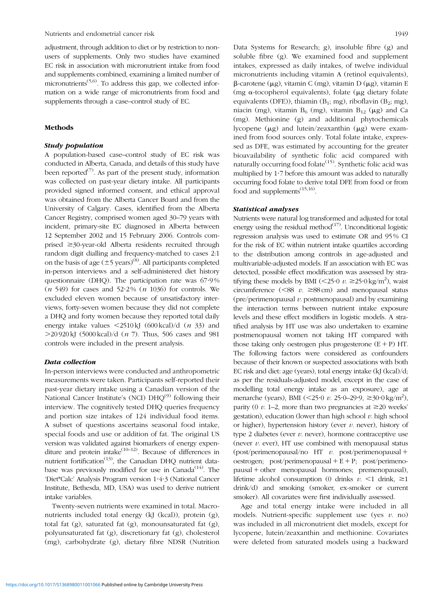adjustment, through addition to diet or by restriction to nonusers of supplements. Only two studies have examined EC risk in association with micronutrient intake from food and supplements combined, examining a limited number of micronutrients<sup> $(5,6)$ </sup>. To address this gap, we collected information on a wide range of micronutrients from food and supplements through a case–control study of EC.

## Methods

## Study population

A population-based case–control study of EC risk was conducted in Alberta, Canada, and details of this study have been reported<sup> $(7)$ </sup>. As part of the present study, information was collected on past-year dietary intake. All participants provided signed informed consent, and ethical approval was obtained from the Alberta Cancer Board and from the University of Calgary. Cases, identified from the Alberta Cancer Registry, comprised women aged 30–79 years with incident, primary-site EC diagnosed in Alberta between 12 September 2002 and 15 February 2006. Controls comprised  $\geq$ 30-year-old Alberta residents recruited through random digit dialling and frequency-matched to cases 2:1 on the basis of age  $(\pm 5 \text{ years})^{(8)}$ . All participants completed in-person interviews and a self-administered diet history questionnaire (DHQ). The participation rate was 67?9 %  $(n 549)$  for cases and  $52.2\%$   $(n 1036)$  for controls. We excluded eleven women because of unsatisfactory interviews, forty-seven women because they did not complete a DHQ and forty women because they reported total daily energy intake values  $\langle 2510 \text{ kJ} (600 \text{ kcal})/d (n 33)$  and  $>$ 20 920 kJ (5000 kcal)/d (*n* 7). Thus, 506 cases and 981 controls were included in the present analysis.

## Data collection

In-person interviews were conducted and anthropometric measurements were taken. Participants self-reported their past-year dietary intake using a Canadian version of the National Cancer Institute's (NCI)  $DHQ<sup>(9)</sup>$  following their interview. The cognitively tested DHQ queries frequency and portion size intakes of 124 individual food items. A subset of questions ascertains seasonal food intake, special foods and use or addition of fat. The original US version was validated against biomarkers of energy expenditure and protein intake<sup>(10-12)</sup>. Because of differences in nutrient fortification<sup>(13)</sup>, the Canadian DHQ nutrient database was previously modified for use in Canada<sup> $(14)$ </sup>. The 'Diet\*Calc' Analysis Program version 1?4?3 (National Cancer Institute, Bethesda, MD, USA) was used to derive nutrient intake variables.

Twenty-seven nutrients were examined in total. Macronutrients included total energy (kJ (kcal)), protein (g), total fat (g), saturated fat (g), monounsaturated fat (g), polyunsaturated fat (g), discretionary fat (g), cholesterol (mg), carbohydrate (g), dietary fibre NDSR (Nutrition Data Systems for Research; g), insoluble fibre (g) and soluble fibre (g). We examined food and supplement intakes, expressed as daily intakes, of twelve individual micronutrients including vitamin A (retinol equivalents),  $\beta$ -carotene ( $\mu$ g), vitamin C (mg), vitamin D ( $\mu$ g), vitamin E (mg  $\alpha$ -tocopherol equivalents), folate ( $\mu$ g dietary folate equivalents (DFE)), thiamin ( $B_1$ ; mg), riboflavin ( $B_2$ ; mg), niacin (mg), vitamin  $B_6$  (mg), vitamin  $B_{12}$  ( $\mu$ g) and Ca (mg). Methionine (g) and additional phytochemicals lycopene  $(\mu g)$  and lutein/zeaxanthin  $(\mu g)$  were examined from food sources only. Total folate intake, expressed as DFE, was estimated by accounting for the greater bioavailability of synthetic folic acid compared with naturally occurring food folate<sup> $(15)$ </sup>. Synthetic folic acid was multiplied by 1?7 before this amount was added to naturally occurring food folate to derive total DFE from food or from food and supplements $(15,16)$ .

#### Statistical analyses

Nutrients were natural log transformed and adjusted for total energy using the residual method $(17)$ . Unconditional logistic regression analysis was used to estimate OR and 95 % CI for the risk of EC within nutrient intake quartiles according to the distribution among controls in age-adjusted and multivariable-adjusted models. If an association with EC was detected, possible effect modification was assessed by stratifying these models by BMI (<25.0  $v \ge 25.0 \text{ kg/m}^2$ ), waist circumference ( $\leq 88$  v.  $\geq 88$  cm) and menopausal status (pre/perimenopausal  $v$ . postmenopausal) and by examining the interaction terms between nutrient intake exposure levels and these effect modifiers in logistic models. A stratified analysis by HT use was also undertaken to examine postmenopausal women not taking HT compared with those taking only oestrogen plus progesterone  $(E + P)$  HT. The following factors were considered as confounders because of their known or suspected associations with both EC risk and diet: age (years), total energy intake (kJ (kcal)/d; as per the residuals-adjusted model, except in the case of modelling total energy intake as an exposure), age at menarche (years), BMI (<25 $\cdot$ 0 v. 25 $\cdot$ 0–29 $\cdot$ 9,  $\geq$ 30 $\cdot$ 0 kg/m<sup>2</sup>), parity (0 v. 1–2, more than two pregnancies at  $\geq$ 20 weeks' gestation), education (lower than high school  $\nu$ . high school or higher), hypertension history (ever  $\nu$  never), history of type 2 diabetes (ever  $v$ . never), hormone contraceptive use (never  $v$ . ever), HT use combined with menopausal status (post/perimenopausal/no HT  $v$ . post/perimenopausal + oestrogen; post/perimenopausal  $+ E + P$ ; post/perimenopausal + other menopausal hormones; premenopausal), lifetime alcohol consumption (0 drinks  $v$ . <1 drink,  $\geq$ 1 drink/d) and smoking (smoker, ex-smoker or current smoker). All covariates were first individually assessed.

Age and total energy intake were included in all models. Nutrient-specific supplement use (yes  $v$ . no) was included in all micronutrient diet models, except for lycopene, lutein/zeaxanthin and methionine. Covariates were deleted from saturated models using a backward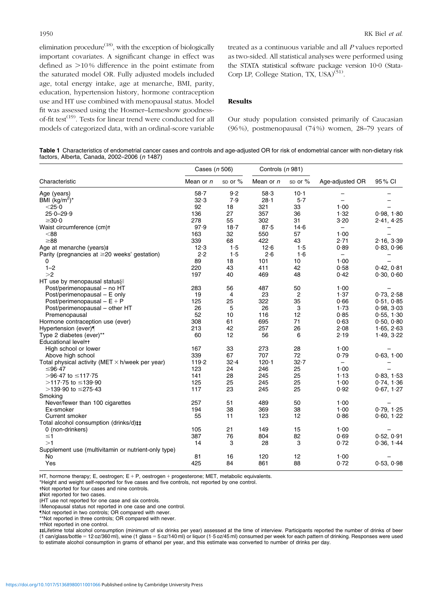elimination procedure $(18)$ , with the exception of biologically important covariates. A significant change in effect was defined as  $>10\%$  difference in the point estimate from the saturated model OR. Fully adjusted models included age, total energy intake, age at menarche, BMI, parity, education, hypertension history, hormone contraception use and HT use combined with menopausal status. Model fit was assessed using the Hosmer–Lemeshow goodnessof-fit test<sup>(19)</sup>. Tests for linear trend were conducted for all models of categorized data, with an ordinal-score variable treated as a continuous variable and all P values reported as two-sided. All statistical analyses were performed using the STATA statistical software package version 10.0 (Stata-Corp LP, College Station, TX,  $USA$ <sup> $(51)$ </sup>.

## Results

Our study population consisted primarily of Caucasian (96 %), postmenopausal (74 %) women, 28–79 years of

Table 1 Characteristics of endometrial cancer cases and controls and age-adjusted OR for risk of endometrial cancer with non-dietary risk factors, Alberta, Canada, 2002–2006 (n 1487)

|                                                        | Cases (n 506) |         | Controls (n 981) |                |                   |            |
|--------------------------------------------------------|---------------|---------|------------------|----------------|-------------------|------------|
| Characteristic                                         | Mean or n     | sp or % | Mean or n        | sp or %        | Age-adjusted OR   | 95 % CI    |
| Age (years)                                            | 58.7          | 9.2     | 58.3             | $10-1$         |                   |            |
| BMI $(kg/m^2)^*$                                       | 32.3          | 7.9     | $28 - 1$         | 5.7            |                   |            |
| $<$ 25 $\cdot$ 0                                       | 92            | 18      | 321              | 33             | 1.00              |            |
| $25.0 - 29.9$                                          | 136           | 27      | 357              | 36             | 1.32              | 0.98, 1.80 |
| $\geq 30.0$                                            | 278           | 55      | 302              | 31             | 3.20              | 2.41, 4.25 |
| Waist circumference (cm)t                              | 97.9          | 18.7    | 87.5             | 14.6           | -                 |            |
| $<$ 88                                                 | 163           | 32      | 550              | 57             | 1.00              |            |
| $\geq 88$                                              | 339           | 68      | 422              | 43             | 2.71              | 2.16, 3.39 |
| Age at menarche (years) <sup>‡</sup>                   | 12.3          | 1.5     | 12.6             | 1.5            | 0.89              | 0.83, 0.96 |
| Parity (pregnancies at $\geq$ 20 weeks' gestation)     | 2.2           | 1.5     | 2.6              | 1.6            | $\qquad \qquad -$ |            |
| 0                                                      | 89            | 18      | 101              | 10             | 1.00              |            |
| $1 - 2$                                                | 220           | 43      | 411              | 42             | 0.58              | 0.42.0.81  |
| >2                                                     | 197           | 40      | 469              | 48             | 0.42              | 0.30, 0.60 |
| HT use by menopausal status§ll                         |               |         |                  |                |                   |            |
| Post/perimenopausal - no HT                            | 283           | 56      | 487              | 50             | 1.00              |            |
| Post/perimenopausal $- E$ only                         | 19            | 4       | 23               | $\overline{c}$ | 1.37              | 0.73, 2.58 |
| Post/perimenopausal $- E + P$                          | 125           | 25      | 322              | 35             | 0.66              | 0.51, 0.85 |
| Post/perimenopausal - other HT                         | 26            | 5       | 26               | 3              | 1.73              | 0.98, 3.03 |
| Premenopausal                                          | 52            | 10      | 116              | 12             | 0.85              | 0.55, 1.30 |
| Hormone contraception use (ever)                       | 308           | 61      | 695              | 71             | 0.63              | 0.50, 0.80 |
| Hypertension (ever)                                    | 213           | 42      | 257              | 26             | 2.08              | 1.65, 2.63 |
| Type 2 diabetes (ever)**                               | 60            | 12      | 56               | 6              | 2.19              | 1.49, 3.22 |
| Educational leveltt                                    |               |         |                  |                |                   |            |
| High school or lower                                   | 167           | 33      | 273              | 28             | 1.00              |            |
| Above high school                                      | 339           | 67      | 707              | 72             | 0.79              | 0.63, 1.00 |
| Total physical activity (MET $\times$ h/week per year) | 119.2         | 32.4    | $120 - 1$        | 32.7           | $-$               |            |
| ≤96.47                                                 | 123           | 24      | 246              | 25             | 1.00              |            |
| >96.47 to ≤117.75                                      | 141           | 28      | 245              | 25             | 1.13              | 0.83, 1.53 |
| >117.75 to $\leq$ 139.90                               | 125           | 25      | 245              | 25             | 1.00              | 0.74, 1.36 |
| >139.90 to $\leq$ 275.43                               | 117           | 23      | 245              | 25             | 0.92              | 0.67, 1.27 |
| Smoking                                                |               |         |                  |                |                   |            |
| Never/fewer than 100 cigarettes                        | 257           | 51      | 489              | 50             | 1.00              |            |
| Ex-smoker                                              | 194           | 38      | 369              | 38             | 1.00              | 0.79, 1.25 |
| Current smoker                                         | 55            | 11      | 123              | 12             | 0.86              | 0.60, 1.22 |
| Total alcohol consumption (drinks/d)‡‡                 |               |         |                  |                |                   |            |
| 0 (non-drinkers)                                       | 105           | 21      | 149              | 15             | 1.00              |            |
| $\leq 1$                                               | 387           | 76      | 804              | 82             | 0.69              | 0.52, 0.91 |
| >1                                                     | 14            | 3       | 28               | 3              | 0.72              | 0.36, 1.44 |
| Supplement use (multivitamin or nutrient-only type)    |               |         |                  |                |                   |            |
| No                                                     | 81            | 16      | 120              | 12             | 1.00              |            |
| Yes                                                    | 425           | 84      | 861              | 88             | 0.72              | 0.53, 0.98 |
|                                                        |               |         |                  |                |                   |            |

HT, hormone therapy; E, oestrogen;  $E + P$ , oestrogen + progesterone; MET, metabolic equivalents.

\*Height and weight self-reported for five cases and five controls, not reported by one control.

-Not reported for four cases and nine controls.

- - Not reported for two cases.

§HT use not reported for one case and six controls.

IIMenopausal status not reported in one case and one control.<br>¶Not reported in two controls: OR compared with never.

¶Not reported in two controls; OR compared with never.<br>\*\*Not reported in three controls; OR compared with never.

ttNot reported in one control.

- - - - Lifetime total alcohol consumption (minimum of six drinks per year) assessed at the time of interview. Participants reported the number of drinks of beer (1 can/glass/bottle 5 12 oz/360 ml), wine (1 glass 5 5 oz/140 ml) or liquor (1?5 oz/45 ml) consumed per week for each pattern of drinking. Responses were used to estimate alcohol consumption in grams of ethanol per year, and this estimate was converted to number of drinks per day.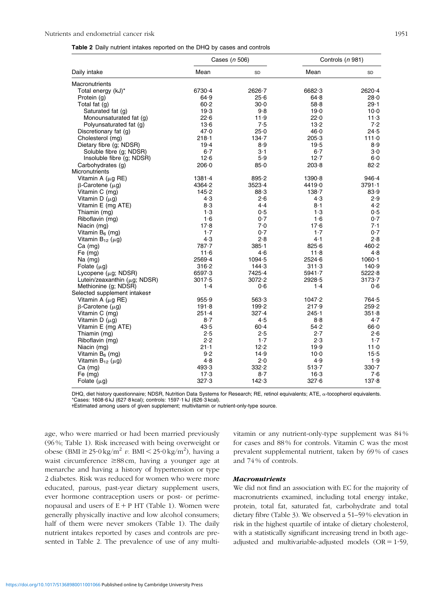Table 2 Daily nutrient intakes reported on the DHQ by cases and controls

|                                   |            | Cases (n 506) |            | Controls (n 981) |
|-----------------------------------|------------|---------------|------------|------------------|
| Daily intake                      | Mean       | <b>SD</b>     | Mean       | <b>SD</b>        |
| Macronutrients                    |            |               |            |                  |
| Total energy (kJ)*                | 6730.4     | 2626.7        | 6682.3     | $2620 - 4$       |
| Protein (g)                       | 64.9       | 25.6          | 64.8       | 28.0             |
| Total fat $(q)$                   | 60.2       | $30-0$        | 58.8       | $29 - 1$         |
| Saturated fat (g)                 | 19.3       | 9.8           | 19.0       | $10-0$           |
| Monounsaturated fat (g)           | 22.6       | 11.9          | 22.0       | 11.3             |
| Polyunsaturated fat (g)           | 13.6       | 7.5           | 13.2       | 7.2              |
| Discretionary fat (g)             | 47.0       | 25.0          | 46.0       | 24.5             |
| Cholesterol (mg)                  | $218 - 1$  | $134 - 7$     | 205.3      | 111.0            |
| Dietary fibre (g; NDSR)           | 19.4       | 8.9           | 19.5       | 8.9              |
| Soluble fibre (g; NDSR)           | $6-7$      | 3·1           | $6-7$      | 3.0              |
| Insoluble fibre (g; NDSR)         | 12.6       | 5.9           | $12 - 7$   | 6·0              |
| Carbohydrates (g)                 | 206.0      | 85.0          | 203.8      | 82.2             |
| Micronutrients                    |            |               |            |                  |
| Vitamin A (µg RE)                 | $1381 - 4$ | 895.2         | 1390.8     | $946 - 4$        |
| $\beta$ -Carotene ( $\mu$ g)      | 4364.2     | 3523.4        | 4419.0     | $3791 - 1$       |
| Vitamin C (mg)                    | 145.2      | 88.3          | 138.7      | 83.9             |
| Vitamin D $(\mu g)$               | 4.3        | 2.6           | 4.3        | 2.9              |
| Vitamin E (mg ATE)                | 8.3        | 4.4           | 8·1        | 4.2              |
| Thiamin (mg)                      | 1.3        | 0.5           | 1.3        | 0.5              |
| Riboflavin (mg)                   | 1.6        | 0.7           | 1.6        | 0.7              |
| Niacin (mg)                       | 17.8       | 7·0           | 17.6       | 7·1              |
| Vitamin $B_6$ (mg)                | 1.7        | 0.7           | 1.7        | 0.7              |
| Vitamin $B_{12}$ ( $\mu$ g)       | 4.3        | 2.8           | 4·1        | 2.8              |
| $Ca$ (mg)                         | 787.7      | $385 - 1$     | 825.6      | 460.2            |
| Fe (mg)                           | 11.6       | 4.6           | 11.8       | 4.8              |
| Na (mg)                           | 2569.4     | 1094.5        | 2524.6     | $1060 - 1$       |
| Folate $(\mu g)$                  | 316.2      | 144.3         | 311.3      | 140.9            |
| Lycopene $(\mu g; NDSR)$          | 6597.3     | 7425.4        | $5941 - 7$ | 5222.8           |
| Lutein/zeaxanthin $(\mu g; NDSR)$ | 3017.5     | 3072.2        | 2928.5     | 3173.7           |
| Methionine (g; NDSR)              | 1.4        | 0.6           | 1.4        | 0.6              |
| Selected supplement intakest      |            |               |            |                  |
| Vitamin A $(\mu g \nR E)$         | 955.9      | 563.3         | 1047.2     | 764.5            |
| $\beta$ -Carotene ( $\mu$ g)      | 191.8      | 199.2         | 217.9      | 259.2            |
| Vitamin C (mg)                    | $251 - 4$  | 327.4         | 245.1      | 351.8            |
| Vitamin D $(\mu g)$               | $8-7$      | 4.5           | 8.8        | 4.7              |
| Vitamin E (mg ATE)                | 43.5       | $60 - 4$      | 54.2       | 66.0             |
| Thiamin (mg)                      | 2.5        | 2.5           | 2.7        | 2·6              |
| Riboflavin (mg)                   | 2.2        | $1-7$         | 2.3        | $1-7$            |
| Niacin (mg)                       | $21 - 1$   | 12.2          | 19.9       | 11.0             |
| Vitamin $B_6$ (mg)                | 9.2        | 14.9          | $10 - 0$   | 15.5             |
| Vitamin $B_{12}$ ( $\mu$ g)       | 4.8        | 2.0           | 4.9        | 1.9              |
| $Ca$ (mg)                         | 493.3      | 332.2         | 513.7      | $330 - 7$        |
| Fe $(mg)$                         | 17.3       | $8-7$         | $16-3$     | 7·6              |
| Folate $(\mu g)$                  | 327.3      | 142.3         | 327.6      | 137.8            |
|                                   |            |               |            |                  |

DHQ, diet history questionnaire; NDSR, Nutrition Data Systems for Research; RE, retinol equivalents; ATE,  $\alpha$ -tocopherol equivalents. \*Cases: 1608?6 kJ (627?8 kcal); controls: 1597?1 kJ (626?3 kcal).

+Estimated among users of given supplement; multivitamin or nutrient-only-type source.

age, who were married or had been married previously (96 %; Table 1). Risk increased with being overweight or obese (BMI $\geq$ 25 $\cdot$ 0 kg/m<sup>2</sup> v. BMI $\lt$ 25 $\cdot$ 0 kg/m<sup>2</sup>), having a waist circumference  $\geq 88$  cm, having a younger age at menarche and having a history of hypertension or type 2 diabetes. Risk was reduced for women who were more educated, parous, past-year dietary supplement users, ever hormone contraception users or post- or perimenopausal and users of  $E + P$  HT (Table 1). Women were generally physically inactive and low alcohol consumers; half of them were never smokers (Table 1). The daily nutrient intakes reported by cases and controls are presented in Table 2. The prevalence of use of any multivitamin or any nutrient-only-type supplement was 84 % for cases and 88 % for controls. Vitamin C was the most prevalent supplemental nutrient, taken by 69 % of cases and 74 % of controls.

#### **Macronutrients**

We did not find an association with EC for the majority of macronutrients examined, including total energy intake, protein, total fat, saturated fat, carbohydrate and total dietary fibre (Table 3). We observed a 51–59 % elevation in risk in the highest quartile of intake of dietary cholesterol, with a statistically significant increasing trend in both ageadjusted and multivariable-adjusted models ( $OR = 1.59$ ,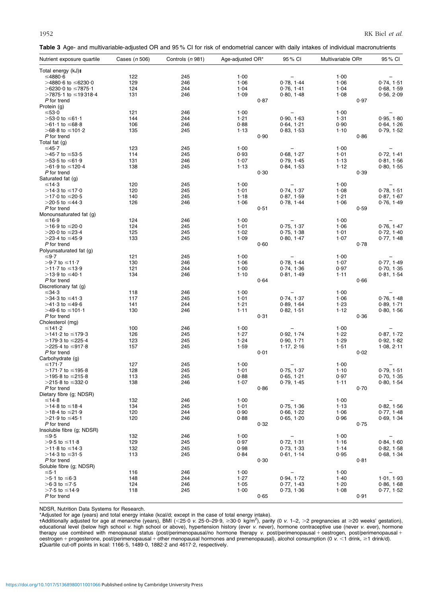|  |  | Table 3 Age- and multivariable-adjusted OR and 95% CI for risk of endometrial cancer with daily intakes of individual macronutrients |
|--|--|--------------------------------------------------------------------------------------------------------------------------------------|
|  |  |                                                                                                                                      |

| Nutrient exposure quartile          | Cases (n 506) | Controls (n 981) | Age-adjusted OR* | 95% CI     | Multivariable OR+ | 95 % CI    |
|-------------------------------------|---------------|------------------|------------------|------------|-------------------|------------|
| Total energy (kJ)‡                  |               |                  |                  |            |                   |            |
| ≤4880.6                             | 122           | 245              | 1.00             |            | 1.00              |            |
| >4880.6 to ≤6230.0                  | 129           | 246              | 1.06             | 0.78, 1.44 | 1.06              | 0.74, 1.51 |
| >6230 0 to ≤7875 1                  | 124           | 244              | 1.04             | 0.76, 1.41 | 1.04              | 0.68, 1.59 |
| >7875 $\cdot$ 1 to ≤19318 $\cdot$ 4 | 131           | 246              | 1.09             | 0.80, 1.48 | 1.08              | 0.56, 2.09 |
| P for trend                         |               |                  | 0.87             |            | 0.97              |            |
| Protein (g)                         |               |                  |                  |            |                   |            |
| $\leq 53.0$                         | 121           | 246              | 1.00             |            | 1.00              |            |
| >53.0 to ≤61.1                      | 144           | 244              | 1.21             | 0.90, 1.63 | 1.31              | 0.95, 1.80 |
| >61.1 to ≤68.8                      | 106           | 246              | 0.88             | 0.64, 1.21 | 0.90              | 0.64, 1.26 |
| $>68.8$ to ≤101.2                   | 135           | 245              | 1.13             | 0.83, 1.53 | $1 - 10$          | 0.79, 1.52 |
| P for trend                         |               |                  | 0.90             |            | 0.86              |            |
| Total fat (g)                       |               |                  |                  |            |                   |            |
| ≤45.7                               | 123           | 245              | 1.00             |            | 1.00              |            |
|                                     |               |                  |                  |            |                   |            |
| >45.7 to ≤53.5                      | 114           | 245              | 0.93             | 0.68, 1.27 | 1.01              | 0.72, 1.41 |
| >53.5 to ≤61.9                      | 131           | 246              | 1.07             | 0.79, 1.45 | $1-13$            | 0.81, 1.56 |
| $>61.9$ to ≤120.4                   | 138           | 245              | $1-13$           | 0.84, 1.53 | 1.12              | 0.80, 1.55 |
| P for trend                         |               |                  | 0.30             |            | 0.39              |            |
| Saturated fat (g)                   |               |                  |                  |            |                   |            |
| ≤14.3                               | 120           | 245              | 1.00             |            | 1.00              |            |
| >14.3 to ≤17.0                      | 120           | 245              | 1.01             | 0.74, 1.37 | 1.08              | 0.78, 1.51 |
| >17 $\cdot$ 0 to ≤20 $\cdot$ 5      | 140           | 245              | 1.18             | 0.87, 1.59 | 1.21              | 0.87, 1.67 |
| >20.5 to ≤44.3                      | 126           | 246              | 1.06             | 0.78, 1.44 | 1.06              | 0.76, 1.49 |
| P for trend                         |               |                  | 0.51             |            | 0.59              |            |
| Monounsaturated fat (q)             |               |                  |                  |            |                   |            |
|                                     |               |                  |                  |            |                   |            |
| ≤16.9                               | 124           | 246              | 1.00             |            | 1.00              |            |
| >16.9 to ≤20.0                      | 124           | 245              | 1.01             | 0.75, 1.37 | 1.06              | 0.76, 1.47 |
| >20.0 to ≤23.4                      | 125           | 245              | 1.02             | 0.75, 1.38 | 1.01              | 0.72, 1.40 |
| >23.4 to ≤45.9                      | 133           | 245              | 1.09             | 0.80, 1.47 | 1.07              | 0.77, 1.48 |
| P for trend                         |               |                  | 0.60             |            | 0.78              |            |
| Polyunsaturated fat (g)             |               |                  |                  |            |                   |            |
| ≤9.7                                | 121           | 245              | 1.00             |            | 1.00              |            |
| >9.7 to ≤11.7                       | 130           | 246              | 1.06             | 0.78, 1.44 | 1.07              | 0.77, 1.49 |
| >11.7 to ≤13.9                      | 121           | 244              | 1.00             | 0.74, 1.36 | 0.97              | 0.70, 1.35 |
| >13.9 to ≤40.1                      | 134           | 246              | $1 - 10$         | 0.81, 1.49 | $1 - 11$          | 0.81, 1.54 |
| P for trend                         |               |                  | 0.64             |            | 0.66              |            |
| Discretionary fat (g)               |               |                  |                  |            |                   |            |
| $\leq 34.3$                         |               |                  |                  |            |                   |            |
|                                     | 118           | 246              | 1.00             |            | 1.00              |            |
| >34.3 to ≤41.3                      | 117           | 245              | 1.01             | 0.74, 1.37 | 1.06              | 0.76, 1.48 |
| >41.3 to ≤49.6                      | 141           | 244              | 1.21             | 0.89, 1.64 | 1.23              | 0.89, 1.71 |
| >49.6 to ≤101.1                     | 130           | 246              | $1 - 11$         | 0.82, 1.51 | 1.12              | 0.80, 1.56 |
| P for trend                         |               |                  | 0.31             |            | 0.36              |            |
| Cholesterol (mg)                    |               |                  |                  |            |                   |            |
| ≤141.2                              | 100           | 246              | 1.00             |            | 1.00              |            |
| >141.2 to ≤179.3                    | 126           | 245              | 1.27             | 0.92, 1.74 | 1.22              | 0.87, 1.72 |
| >179 3 to ≤225 4                    | 123           | 245              | 1.24             | 0.90, 1.71 | 1.29              | 0.92, 1.82 |
| >225.4 to ≤917.8                    | 157           | 245              | 1.59             | 1.17, 2.16 | 1.51              | 1.08, 2.11 |
| P for trend                         |               |                  | 0.01             |            | 0.02              |            |
| Carbohydrate (g)                    |               |                  |                  |            |                   |            |
| ≤171.7                              | 127           | 245              | 1.00             |            | 1.00              |            |
| >171.7 to ≤195.8                    |               |                  |                  |            |                   |            |
|                                     | 128           | 245              | 1.01             | 0.75, 1.37 | $1-10$            | 0.79, 1.51 |
| >195 $\cdot$ 8 to ≤215 $\cdot$ 8    | 113           | 245              | 0.88             | 0.65, 1.21 | 0.97              | 0.70, 1.35 |
| >215.8 to ≤332.0                    | 138           | 246              | 1.07             | 0.79, 1.45 | $1 - 11$          | 0.80, 1.54 |
| P for trend                         |               |                  | 0.86             |            | 0.70              |            |
| Dietary fibre (g; NDSR)             |               |                  |                  |            |                   |            |
| ≤14.8                               | 132           | 246              | $1 - 00$         | -          | 1.00              |            |
| >14.8 to ≤18.4                      | 134           | 245              | 1.01             | 0.75, 1.36 | $1 - 13$          | 0.82, 1.56 |
| >18.4 to ≤21.9                      | 120           | 244              | 0.90             | 0.66, 1.22 | 1.06              | 0.77, 1.48 |
| >21.9 to $\leq$ 45.1                | 120           | 246              | 0.88             | 0.65, 1.20 | 0.96              | 0.69, 1.34 |
| P for trend                         |               |                  | 0.32             |            | 0.75              |            |
| Insoluble fibre (g; NDSR)           |               |                  |                  |            |                   |            |
| ≤9.5                                | 132           | 246              | 1.00             |            | 1.00              |            |
|                                     | 129           |                  |                  |            |                   |            |
| $>9.5$ to $\leq$ 11.8               |               | 245              | 0.97             | 0.72, 1.31 | 1.16              | 0.84, 1.60 |
| >11.8 to ≤14.3                      | 132           | 245              | 0.98             | 0.73, 1.33 | 1.14              | 0.82, 1.58 |
| >14.3 to $\leq$ 31.5                | 113           | 245              | 0.84             | 0.61, 1.14 | 0.95              | 0.68, 1.34 |
| P for trend                         |               |                  | 0.30             |            | 0.81              |            |
| Soluble fibre (q; NDSR)             |               |                  |                  |            |                   |            |
| ≤5.1                                | 116           | 246              | $1 - 00$         |            | 1.00              |            |
| $>5.1$ to $\leq 6.3$                | 148           | 244              | 1.27             | 0.94, 1.72 | 1.40              | 1.01, 1.93 |
| $>6.3$ to $\leq 7.5$                | 124           | 246              | 1.05             | 0.77, 1.43 | 1.20              | 0.86, 1.68 |
| $>7.5$ to ≤14.9                     | 118           | 245              | $1 - 00$         | 0.73, 1.36 | 1.08              | 0.77, 1.52 |
| P for trend                         |               |                  | 0.65             |            | 0.91              |            |
|                                     |               |                  |                  |            |                   |            |

NDSR, Nutrition Data Systems for Research.

\*Adjusted for age (years) and total energy intake (kcal/d; except in the case of total energy intake).<br>+Additionally adjusted for age at menarche (years), BMI (<25·0 v. 25·0–29·9, ≥30·0 kg/m<sup>2</sup>), parity (0 v. 1–2, >2 preg - - Quartile cut-off points in kcal: 1166?5, 1489?0, 1882?2 and 4617?2, respectively.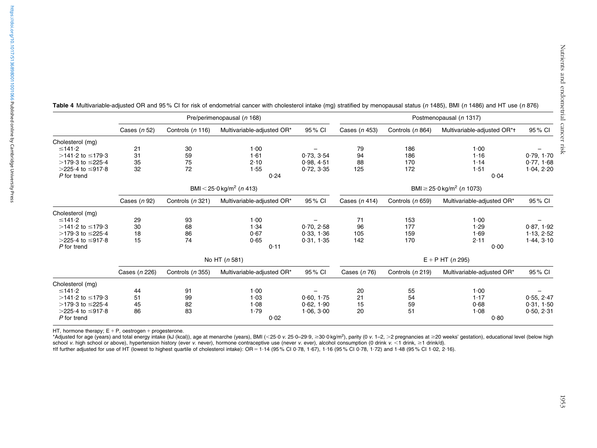|                                  |                |                  | Pre/perimenopausal (n 168)                           |            |                 |                  | Postmenopausal (n 1317)                                    |            |
|----------------------------------|----------------|------------------|------------------------------------------------------|------------|-----------------|------------------|------------------------------------------------------------|------------|
|                                  | Cases $(n 52)$ | Controls (n 116) | Multivariable-adjusted OR*                           | 95% CI     | Cases $(n 453)$ | Controls (n 864) | Multivariable-adjusted OR*+                                | 95 % CI    |
| Cholesterol (mg)                 |                |                  |                                                      |            |                 |                  |                                                            |            |
| $\leq 141.2$                     | 21             | 30               | 1.00                                                 |            | 79              | 186              | 1.00                                                       |            |
| >141.2 to ≤179.3                 | 31             | 59               | 1.61                                                 | 0.73, 3.54 | 94              | 186              | 1.16                                                       | 0.79, 1.70 |
| >179.3 to ≤225.4                 | 35             | 75               | 2.10                                                 | 0.98, 4.51 | 88              | 170              | 1.14                                                       | 0.77, 1.68 |
| >225.4 to ≤917.8                 | 32             | 72               | 1.55                                                 | 0.72, 3.35 | 125             | 172              | 1.51                                                       | 1.04, 2.20 |
| P for trend                      |                |                  | 0.24                                                 |            |                 |                  | 0.04                                                       |            |
|                                  |                |                  | BMI < 25 $\cdot$ 0 kg/m <sup>2</sup> ( <i>n</i> 413) |            |                 |                  | BMI $\geq$ 25 $\cdot$ 0 kg/m <sup>2</sup> ( <i>n</i> 1073) |            |
|                                  | Cases $(n 92)$ | Controls (n 321) | Multivariable-adjusted OR*                           | 95% CI     | Cases $(n 414)$ | Controls (n 659) | Multivariable-adjusted OR*                                 | 95 % CI    |
| Cholesterol (mg)                 |                |                  |                                                      |            |                 |                  |                                                            |            |
| ≤141.2                           | 29             | 93               | 1.00                                                 |            | 71              | 153              | 1.00                                                       |            |
| >141.2 to ≤179.3                 | 30             | 68               | 1.34                                                 | 0.70, 2.58 | 96              | 177              | 1.29                                                       | 0.87, 1.92 |
| >179.3 to ≤225.4                 | 18             | 86               | 0.67                                                 | 0.33, 1.36 | 105             | 159              | 1.69                                                       | 1.13, 2.52 |
| >225 $\cdot$ 4 to ≤917 $\cdot$ 8 | 15             | 74               | 0.65                                                 | 0.31, 1.35 | 142             | 170              | 2.11                                                       | 1.44, 3.10 |
| P for trend                      |                |                  | 0.11                                                 |            |                 |                  | 0.00                                                       |            |
|                                  |                |                  | No HT (n 581)                                        |            |                 |                  | $E + P HT (n 295)$                                         |            |
|                                  | Cases (n 226)  | Controls (n 355) | Multivariable-adiusted OR*                           | 95% CI     | Cases $(n 76)$  | Controls (n 219) | Multivariable-adjusted OR*                                 | 95 % CI    |
| Cholesterol (mg)                 |                |                  |                                                      |            |                 |                  |                                                            |            |
| ≤141.2                           | 44             | 91               | 1.00                                                 |            | 20              | 55               | 1.00                                                       |            |
| >141.2 to ≤179.3                 | 51             | 99               | 1.03                                                 | 0.60.1.75  | 21              | 54               | 1.17                                                       | 0.55, 2.47 |
| >179.3 to ≤225.4                 | 45             | 82               | 1.08                                                 | 0.62, 1.90 | 15              | 59               | 0.68                                                       | 0.31, 1.50 |
| >225 $\cdot$ 4 to ≤917 $\cdot$ 8 | 86             | 83               | 1.79                                                 | 1.06, 3.00 | 20              | 51               | 1.08                                                       | 0.50, 2.31 |
| P for trend                      |                |                  | 0.02                                                 |            |                 |                  | 0.80                                                       |            |

|  | Table 4 Multivariable-adjusted OR and 95% CI for risk of endometrial cancer with cholesterol intake (mg) stratified by menopausal status (n 1485), BMI (n 1486) and HT use (n 876) |  |  |  |  |
|--|------------------------------------------------------------------------------------------------------------------------------------------------------------------------------------|--|--|--|--|
|  |                                                                                                                                                                                    |  |  |  |  |

HT, hormone therapy; E + P, oestrogen + progesterone.<br>\*Adjusted for age (years) and total energy intake (kJ (kcal)), age at menarche (years), BMI (<25·0 v. 25·0–29·9, ≥30·0 kg/m<sup>2</sup>), parity (0 v. 1–2, >2 pregnancies at ≥2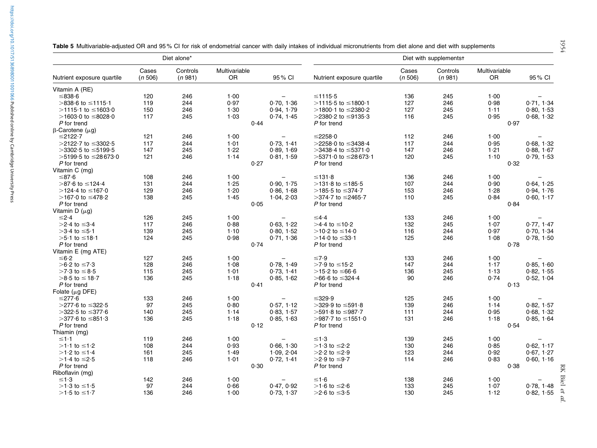|                                            |                  | Diet alone*         |                            |                          |                                      |                  | Diet with supplementst |                            |            |
|--------------------------------------------|------------------|---------------------|----------------------------|--------------------------|--------------------------------------|------------------|------------------------|----------------------------|------------|
| Nutrient exposure quartile                 | Cases<br>(n 506) | Controls<br>(n 981) | Multivariable<br><b>OR</b> | 95% CI                   | Nutrient exposure quartile           | Cases<br>(n 506) | Controls<br>(n 981)    | Multivariable<br><b>OR</b> | 95% CI     |
| Vitamin A (RE)                             |                  |                     |                            |                          |                                      |                  |                        |                            |            |
| ≤838.6                                     | 120              | 246                 | 1.00                       |                          | $\leq 1115.5$                        | 136              | 245                    | 1.00                       |            |
| $>838.6$ to ≤1115.1                        | 119              | 244                 | 0.97                       | 0.70, 1.36               | >1115 $\cdot$ 5 to ≤1800 $\cdot$ 1   | 127              | 246                    | 0.98                       | 0.71, 1.34 |
| >1115 $\cdot$ 1 to ≤1603 $\cdot$ 0         | 150              | 246                 | 1.30                       | 0.94.1.79                | >1800 $\cdot$ 1 to ≤2380 $\cdot$ 2   | 127              | 245                    | 1.11                       | 0.80, 1.53 |
| >1603 $\cdot$ 0 to ≤8028 $\cdot$ 0         | 117              | 245                 | 1.03                       | 0.74, 1.45               | $>$ 2380⋅2 to $≤$ 9135⋅3             | 116              | 245                    | 0.95                       | 0.68, 1.32 |
| P for trend                                |                  |                     |                            | 0.44                     | P for trend                          |                  |                        | 0.97                       |            |
| $\beta$ -Carotene ( $\mu$ q)               |                  |                     |                            |                          |                                      |                  |                        |                            |            |
| $\leq$ 2122 $\cdot$ 7                      | 121              | 246                 | 1.00                       |                          | $\leq$ 2258 $\cdot$ 0                | 112              | 246                    | 1.00                       |            |
| >2122 · 7 to ≤3302 · 5                     | 117              | 244                 | 1.01                       | 0.73, 1.41               | >2258 $\cdot$ 0 to ≤3438 $\cdot$ 4   | 117              | 244                    | 0.95                       | 0.68, 1.32 |
| >3302.5 to ≤5199.5                         | 147              | 245                 | 1.22                       | 0.89, 1.69               | >3438.4 to $\leq$ 5371.0             | 147              | 246                    | 1.21                       | 0.88, 1.67 |
| >5199.5 to ≤28673.0                        | 121              | 246                 | 1.14                       | 0.81, 1.59               | >5371.0 to ≤28673.1                  | 120              | 245                    | 1.10                       | 0.79, 1.53 |
| P for trend                                |                  |                     |                            | 0.27                     | P for trend                          |                  |                        | 0.32                       |            |
| Vitamin C (mg)                             |                  |                     |                            |                          |                                      |                  |                        |                            |            |
| ≤87.6                                      | 108              | 246                 | 1.00                       | $\overline{\phantom{0}}$ | $\leq 131.8$                         | 136              | 246                    | 1.00                       |            |
| >87.6 to $\leq$ 124.4                      | 131              | 244                 | 1.25                       | 0.90, 1.75               | >131.8 to ≤185.5                     | 107              | 244                    | 0.90                       | 0.64, 1.25 |
| >124 $\cdot$ 4 to ≤167 $\cdot$ 0           | 129              | 246                 | 1.20                       | 0.86, 1.68               | >185 $\cdot$ 5 to ≤374 $\cdot$ 7     | 153              | 246                    | 1.28                       | 0.94, 1.76 |
| >167 $\cdot$ 0 to ≤478 $\cdot$ 2           | 138              | 245                 | 1.45                       | 1.04, 2.03               | >374 $\cdot$ 7 to ≤2465 $\cdot$ 7    | 110              | 245                    | 0.84                       | 0.60, 1.17 |
| P for trend                                |                  |                     |                            | 0.05                     | P for trend                          |                  |                        | 0.84                       |            |
| Vitamin $D(\mu g)$                         |                  |                     |                            |                          |                                      |                  |                        |                            |            |
| ≤2.4                                       | 126              | 245                 | 1.00                       |                          | $\leq 4.4$                           | 133              | 246                    | 1.00                       |            |
| $>2.4$ to $\leq$ 3.4                       | 117              | 246                 | 0.88                       | 0.63.1.22                | >4.4 to $\leq$ 10.2                  | 132              | 245                    | 1.07                       | 0.77, 1.47 |
| $>3.4$ to $\leq 5.1$                       | 139              | 245                 | 1.10                       | 0.80, 1.52               | >10.2 to $\leq$ 14.0                 | 116              | 244                    | 0.97                       | 0.70, 1.34 |
| $>5.1$ to $\leq$ 18.1                      | 124              | 245                 | 0.98                       | 0.71, 1.36               | >14 $\cdot$ 0 to ≤33 $\cdot$ 1       | 125              | 246                    | 1.08                       | 0.78, 1.50 |
| P for trend                                |                  |                     |                            | 0.74                     | P for trend                          |                  |                        | 0.78                       |            |
| Vitamin E (mg ATE)                         |                  |                     |                            |                          |                                      |                  |                        |                            |            |
| ≤6.2                                       | 127              | 245                 | 1.00                       |                          | ≤7.9                                 | 133              | 246                    | 1.00                       |            |
| $>6.2$ to $\leq 7.3$                       | 128              | 246                 | 1.08                       | 0.78, 1.49               | $>7.9$ to $\leq$ 15.2                | 147              | 244                    | 1.17                       | 0.85, 1.60 |
| >7.3 to $\leq$ 8.5                         | 115              | 245                 | 1.01                       | 0.73, 1.41               | >15 $\cdot$ 2 to $\leq$ 66 $\cdot$ 6 | 136              | 245                    | 1.13                       | 0.82, 1.55 |
| $>8.5$ to ≤18.7                            | 136              | 245                 | 1.18                       | 0.85, 1.62               | >66.6 to ≤324.4                      | 90               | 246                    | 0.74                       | 0.52, 1.04 |
| P for trend                                |                  |                     |                            | 0.41                     | P for trend                          |                  |                        | 0.13                       |            |
| Folate ( $\mu$ g DFE)                      |                  |                     |                            |                          |                                      |                  |                        |                            |            |
| ≤277.6                                     | 133              | 246                 | 1.00                       |                          | $\leq$ 329.9                         | 125              | 245                    | 1.00                       |            |
| >277 $\cdot$ 6 to ≤322 $\cdot$ 5           | 97               | 245                 | 0.80                       | 0.57, 1.12               | >329.9 to $\leq$ 591.8               | 139              | 246                    | 1.14                       | 0.82, 1.57 |
| >322 $\cdot$ 5 to ≤377 $\cdot$ 6           | 140              | 245                 | 1.14                       | 0.83, 1.57               | >591.8 to ≤987.7                     | 111              | 244                    | 0.95                       | 0.68, 1.32 |
| >377 $\cdot$ 6 to ≤851 $\cdot$ 3           | 136              | 245                 | 1.18                       | 0.85, 1.63               | >987.7 to ≤1551.0                    | 131              | 246                    | 1.18                       | 0.85, 1.64 |
| P for trend                                |                  |                     |                            | 0.12                     | P for trend                          |                  |                        | 0.54                       |            |
| Thiamin (mg)                               |                  |                     |                            |                          |                                      |                  |                        |                            |            |
| $\leq 1.1$                                 | 119              | 246                 | 1.00                       |                          | $\leq 1.3$                           | 139              | 245                    | 1.00                       |            |
| $>1.1$ to $\leq1.2$                        | 108              | 244                 | 0.93                       | 0.66, 1.30               | $>1.3$ to $\leq2.2$                  | 130              | 246                    | 0.85                       | 0.62, 1.17 |
| $>1.2$ to $\leq1.4$                        | 161              | 245                 | 1.49                       | 1.09, 2.04               | >2 $\cdot$ 2 to $\leq$ 2 $\cdot$ 9   | 123              | 244                    | 0.92                       | 0.67, 1.27 |
| $>1.4$ to $\leq$ 2.5                       | 118              | 246                 | 1.01                       | 0.72, 1.41               | >2.9 to $\leq$ 9.7                   | 114              | 246                    | 0.83                       | 0.60, 1.16 |
| P for trend                                |                  |                     |                            | 0.30                     | P for trend                          |                  |                        | 0.38                       |            |
|                                            |                  |                     |                            |                          |                                      |                  |                        |                            |            |
| Riboflavin (mg)                            |                  |                     | 1.00                       |                          |                                      |                  |                        |                            |            |
| ≤1.3                                       | 142<br>97        | 246<br>244          | 0.66                       | 0.47, 0.92               | ≤1.6<br>$>1.6$ to ≤2.6               | 138              | 246<br>245             | 1.00<br>1.07               | 0.78, 1.48 |
| $>1.3$ to $\leq1.5$<br>$>1.5$ to $\leq1.7$ | 136              | 246                 | 1.00                       |                          |                                      | 133<br>130       | 245                    | 1.12                       |            |
|                                            |                  |                     |                            | 0.73, 1.37               | $>$ 2⋅6 to $\leq$ 3⋅5                |                  |                        |                            | 0.82, 1.55 |

Table 5 Multivariable-adjusted OR and 95% CI for risk of endometrial cancer with daily intakes of individual micronutrients from diet alone and diet with supplements

RK Biel

et al.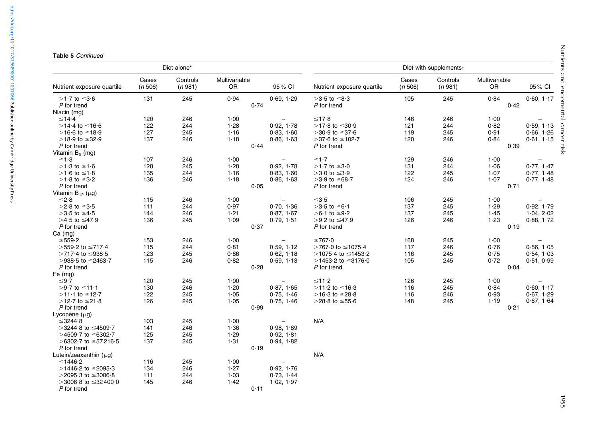|  | <b>Table 5 Continued</b> |
|--|--------------------------|
|--|--------------------------|

https://doi.org/10.1017/S1368980011001066 Published online by Cambridge University Press <https://doi.org/10.1017/S1368980011001066>Published online by Cambridge University Press

|                                    |                  | Diet alone*         |                     |            |                                      |                  | Diet with supplementst |                     |            |
|------------------------------------|------------------|---------------------|---------------------|------------|--------------------------------------|------------------|------------------------|---------------------|------------|
| Nutrient exposure quartile         | Cases<br>(n 506) | Controls<br>(n 981) | Multivariable<br>OR | 95% CI     | Nutrient exposure quartile           | Cases<br>(n 506) | Controls<br>(n 981)    | Multivariable<br>OR | 95% CI     |
| $>1.7$ to ≤3.6<br>P for trend      | 131              | 245                 | 0.94<br>0.74        | 0.69, 1.29 | $>3.5$ to $\leq 8.3$<br>P for trend  | 105              | 245                    | 0.84<br>0.42        | 0.60, 1.17 |
| Niacin (mg)                        |                  |                     |                     |            |                                      |                  |                        |                     |            |
| ≤14.4                              | 120              | 246                 | 1.00                |            | ≤17.8                                | 146              | 246                    | 1.00                |            |
| >14⋅4 to $≤16·6$                   | 122              | 244                 | 1.28                | 0.92, 1.78 | >17 $\cdot$ 8 to $\leq$ 30 $\cdot$ 9 | 121              | 244                    | 0.82                | 0.59, 1.13 |
| >16.6 to ≤18.9                     | 127              | 245                 | 1.16                | 0.83, 1.60 | >30.9 to $\leq$ 37.6                 | 119              | 245                    | 0.91                | 0.66, 1.26 |
| >18.9 to ≤32.9                     | 137              | 246                 | 1.18                | 0.86, 1.63 | >37 $\cdot$ 6 to ≤102 $\cdot$ 7      | 120              | 246                    | 0.84                | 0.61, 1.15 |
| P for trend                        |                  |                     | 0.44                |            | P for trend                          |                  |                        | 0.39                |            |
| Vitamin B <sub>6</sub> (mg)        |                  |                     |                     |            |                                      |                  |                        |                     |            |
| ≤1.3                               | 107              | 246                 | 1.00                |            | $\leq1.7$                            | 129              | 246                    | 1.00                |            |
| $>1.3$ to $\leq1.6$                |                  | 245                 |                     | 0.92, 1.78 | $>1.7$ to $\leq 3.0$                 |                  | 244                    | 1.06                | 0.77, 1.47 |
| $>1.6$ to ≤1.8                     | 128<br>135       | 244                 | 1.28<br>1.16        |            | $>3.0$ to $\leq 3.9$                 | 131<br>122       | 245                    |                     |            |
|                                    |                  |                     |                     | 0.83, 1.60 |                                      |                  |                        | 1.07                | 0.77, 1.48 |
| $>1.8$ to $\leq 3.2$               | 136              | 246                 | 1.18                | 0.86, 1.63 | $>3.9$ to $\leq 68.7$                | 124              | 246                    | 1.07                | 0.77, 1.48 |
| P for trend                        |                  |                     | 0.05                |            | P for trend                          |                  |                        | 0.71                |            |
| Vitamin $B_{12}$ ( $\mu$ g)        |                  |                     |                     |            |                                      |                  |                        |                     |            |
| ≤2.8                               | 115              | 246                 | 1.00                |            | $≤3.5$                               | 106              | 245                    | 1.00                |            |
| $>2.8$ to ≤3.5                     | 111              | 244                 | 0.97                | 0.70, 1.36 | $>3.5$ to $\leq 6.1$                 | 137              | 245                    | 1.29                | 0.92, 1.79 |
| $>3.5$ to $\leq 4.5$               | 144              | 246                 | 1.21                | 0.87, 1.67 | $>6.1$ to $\leq 9.2$                 | 137              | 245                    | 1.45                | 1.04, 2.02 |
| >4.5 to $\leq$ 47.9                | 136              | 245                 | 1.09                | 0.79, 1.51 | $>9.2$ to $\leq 47.9$                | 126              | 246                    | 1.23                | 0.88, 1.72 |
| P for trend                        |                  |                     | 0.37                |            | P for trend                          |                  |                        | 0.19                |            |
| Ca (mg)                            |                  |                     |                     |            |                                      |                  |                        |                     |            |
| $\leq 559.2$                       | 153              | 246                 | 1.00                |            | ≤767.0                               | 168              | 245                    | 1.00                |            |
| >559.2 to ≤717.4                   | 115              | 244                 | 0.81                | 0.59, 1.12 | >767 $\cdot$ 0 to ≤1075 $\cdot$ 4    | 117              | 246                    | 0.76                | 0.56.105   |
| >717.4 to ≤938.5                   | 123              | 245                 | 0.86                | 0.62, 1.18 | >1075 $\cdot$ 4 to ≤1453 $\cdot$ 2   | 116              | 245                    | 0.75                | 0.54, 1.03 |
| >938.5 to ≤2463.7                  | 115              | 246                 | 0.82                | 0.59, 1.13 | >1453.2 to ≤3176.0                   | 105              | 245                    | 0.72                | 0.51, 0.99 |
| P for trend                        |                  |                     | 0.28                |            | P for trend                          |                  |                        | 0.04                |            |
| Fe (mg)                            |                  |                     |                     |            |                                      |                  |                        |                     |            |
| ≤9.7                               | 120              | 245                 | 1.00                |            | ≤11.2                                | 126              | 245                    | 1.00                |            |
| >9.7 to ≤11.1                      | 130              | 246                 | 1.20                | 0.87, 1.65 | >11.2 to $\leq$ 16.3                 | 116              | 245                    | 0.84                | 0.60, 1.17 |
| >11⋅1 to $≤12·7$                   | 122              | 245                 | 1.05                | 0.75, 1.46 | >16.3 to $\leq$ 28.8                 | 116              | 246                    | 0.93                | 0.67, 1.29 |
| >12.7 to $\leq$ 21.8               | 126              | 245                 | 1.05                | 0.75, 1.46 | >28.8 to $\leq 55.6$                 | 148              | 245                    | 1.19                | 0.87, 1.64 |
| P for trend                        |                  |                     | 0.99                |            |                                      |                  |                        | 0.21                |            |
| Lycopene $(\mu q)$                 |                  |                     |                     |            |                                      |                  |                        |                     |            |
| $\leq$ 3244 $\cdot$ 8              | 103              | 245                 | 1.00                |            | N/A                                  |                  |                        |                     |            |
| >3244 $\cdot$ 8 to ≤4509 $\cdot$ 7 | 141              | 246                 | 1.36                | 0.98, 1.89 |                                      |                  |                        |                     |            |
| >4509.7 to ≤6302.7                 | 125              | 245                 | 1.29                | 0.92, 1.81 |                                      |                  |                        |                     |            |
| >6302.7 to ≤57216.5                | 137              | 245                 | 1.31                | 0.94, 1.82 |                                      |                  |                        |                     |            |
| P for trend                        |                  |                     | 0.19                |            |                                      |                  |                        |                     |            |
| Lutein/zeaxanthin $(\mu g)$        |                  |                     |                     |            | N/A                                  |                  |                        |                     |            |
| ≤1446.2                            | 116              | 245                 | 1.00                |            |                                      |                  |                        |                     |            |
| >1446 $\cdot$ 2 to ≤2095 $\cdot$ 3 | 134              | 246                 | 1.27                | 0.92, 1.76 |                                      |                  |                        |                     |            |
| $>$ 2095⋅3 to $\leq$ 3006⋅8        | 111              | 244                 | 1.03                | 0.73, 1.44 |                                      |                  |                        |                     |            |
| >3006.8 to $≤32400.0$              | 145              | 246                 | 1.42                | 1.02, 1.97 |                                      |                  |                        |                     |            |
| P for trend                        |                  |                     | 0.11                |            |                                      |                  |                        |                     |            |
|                                    |                  |                     |                     |            |                                      |                  |                        |                     |            |
|                                    |                  |                     |                     |            |                                      |                  |                        |                     |            |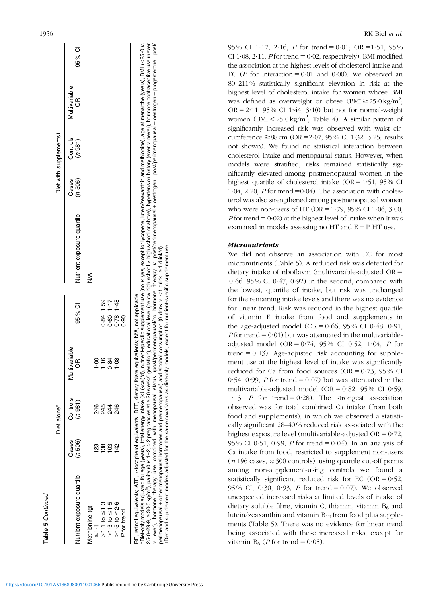|                                                                                                                                                                                                                                                                                                                                                                            |                 | Diet alone*                     |                    |                              |                                                                                                                                                                                                                                                                                                                                                                                                                                                                                                                                                                                                                                             |                 | Diet with supplementst |                    |        |
|----------------------------------------------------------------------------------------------------------------------------------------------------------------------------------------------------------------------------------------------------------------------------------------------------------------------------------------------------------------------------|-----------------|---------------------------------|--------------------|------------------------------|---------------------------------------------------------------------------------------------------------------------------------------------------------------------------------------------------------------------------------------------------------------------------------------------------------------------------------------------------------------------------------------------------------------------------------------------------------------------------------------------------------------------------------------------------------------------------------------------------------------------------------------------|-----------------|------------------------|--------------------|--------|
| Nutrient exposure quartile                                                                                                                                                                                                                                                                                                                                                 | Cases<br>(n506) | Controls<br>(n981)              | Multivariable<br>6 | 95% CI                       | Nutrient exposure quartile                                                                                                                                                                                                                                                                                                                                                                                                                                                                                                                                                                                                                  | (n506)<br>Cases | Controls<br>(n981)     | Multivariable<br>g | 95% CI |
| Methionine (q)                                                                                                                                                                                                                                                                                                                                                             |                 |                                 |                    |                              | ≸                                                                                                                                                                                                                                                                                                                                                                                                                                                                                                                                                                                                                                           |                 |                        |                    |        |
| $\frac{1}{\sqrt{2}}$                                                                                                                                                                                                                                                                                                                                                       | 23              |                                 | ဒ္                 |                              |                                                                                                                                                                                                                                                                                                                                                                                                                                                                                                                                                                                                                                             |                 |                        |                    |        |
| $>1.1$ to $\leq 1.3$                                                                                                                                                                                                                                                                                                                                                       | $\frac{8}{3}$   | 9 9 9 9 9<br>4 4 4 9<br>9 9 4 9 | 1.16               | 0.84, 1.59                   |                                                                                                                                                                                                                                                                                                                                                                                                                                                                                                                                                                                                                                             |                 |                        |                    |        |
| $>1.3$ to $\leq 1.5$                                                                                                                                                                                                                                                                                                                                                       | $\frac{3}{2}$   |                                 | 0.84               |                              |                                                                                                                                                                                                                                                                                                                                                                                                                                                                                                                                                                                                                                             |                 |                        |                    |        |
| $>1.5$ to $\leq$ 2.6                                                                                                                                                                                                                                                                                                                                                       | $\frac{2}{4}$   |                                 | $^{1.08}$          | $0.60, 1.17$<br>$0.78, 1.48$ |                                                                                                                                                                                                                                                                                                                                                                                                                                                                                                                                                                                                                                             |                 |                        |                    |        |
| P for trend                                                                                                                                                                                                                                                                                                                                                                |                 |                                 |                    | 0.90                         |                                                                                                                                                                                                                                                                                                                                                                                                                                                                                                                                                                                                                                             |                 |                        |                    |        |
| +Diet and supplement models adjusted for the same covariates as diet-only models, except for nutrient-specific supplement use.<br>perimenopausal + other menopausal hormones and premenopausal) and alcohol consumption (0 drink x <1 drink, >1 drink(d).<br>RE, retinol equivalents; ATE, «-tocopherol equivalents; DFE, dietary folate equivalents; N/A, not applicable. |                 |                                 |                    |                              | 'Diet-only models adjusted for age (years), total energy intake (kJ (kcal)/d), nutrient-specific supplement use (no v. yes, except for lycopene, lutein/zeaxanthin and methionine), age at menarche (years), BMI (<25·0 v.<br>25-0-29-0 kg/m^i, parity (0 v. 1−2, >2 pregnancies at ≥20 weeks' gestation), educational level (beled [belei logh school or above), hypertension history (ever v. never), hormone contraceptive use (never<br>v. ever), hormone therapy use combined with menopausal status (post/perimenopausal/no hormone therapy v. post/perimenopausal + oestrogen, post/perimenopausal + oestrogen + progesterone, post/ |                 |                        |                    |        |

95% CI 1.17, 2.16, P for trend = 0.01; OR = 1.51, 95% CI 1 $\cdot$ 08, 2 $\cdot$ 11, *P* for trend = 0 $\cdot$ 02, respectively). BMI modified the association at the highest levels of cholesterol intake and EC (*P* for interaction = 0.01 and 0.00). We observed an 80–211 % statistically significant elevation in risk at the highest level of cholesterol intake for women whose BMI was defined as overweight or obese  $(BMI \ge 25.0 \text{ kg/m}^2)$ ; OR =  $2.11$ , 95% CI 1.44, 3.10) but not for normal-weight women  $(BMI < 25.0 \text{ kg/m}^2$ ; Table 4). A similar pattern of significantly increased risk was observed with waist circumference  $\geq 88$  cm (OR = 2.07, 95 % CI 1.32, 3.25; results not shown). We found no statistical interaction between cholesterol intake and menopausal status. However, when models were stratified, risks remained statistically significantly elevated among postmenopausal women in the highest quartile of cholesterol intake (OR =  $1.51$ , 95% CI 1.04, 2.20, P for trend =  $0.04$ ). The association with cholesterol was also strengthened among postmenopausal women who were non-users of HT (OR =  $1.79$ , 95 % CI  $1.06$ ,  $3.00$ , P for trend  $= 0.02$ ) at the highest level of intake when it was examined in models assessing no HT and  $E + P$  HT use.

## **Micronutrients**

We did not observe an association with EC for most micronutrients (Table 5). A reduced risk was detected for dietary intake of riboflavin (multivariable-adjusted  $OR =$  $0.66$ ,  $95\%$  CI  $0.47$ ,  $0.92$ ) in the second, compared with the lowest, quartile of intake, but risk was unchanged for the remaining intake levels and there was no evidence for linear trend. Risk was reduced in the highest quartile of vitamin E intake from food and supplements in the age-adjusted model (OR =  $0.66$ , 95 % CI 0.48, 0.91, P for trend  $= 0.01$ ) but was attenuated in the multivariableadjusted model (OR =  $0.74$ , 95% CI 0.52, 1.04, P for trend  $= 0.13$ ). Age-adjusted risk accounting for supplement use at the highest level of intake was significantly reduced for Ca from food sources ( $OR = 0.73$ , 95% CI 0.54, 0.99, P for trend = 0.07) but was attenuated in the multivariable-adjusted model (OR =  $0.82$ , 95% CI 0.59, 1.13, P for trend =  $0.28$ ). The strongest association observed was for total combined Ca intake (from both food and supplements), in which we observed a statistically significant 28–40 % reduced risk associated with the highest exposure level (multivariable-adjusted  $OR = 0.72$ , 95% CI 0.51, 0.99, P for trend = 0.04). In an analysis of Ca intake from food, restricted to supplement non-users  $(n 196 \text{ cases}, n 300 \text{ controls})$ , using quartile cut-off points among non-supplement-using controls we found a statistically significant reduced risk for EC (OR  $= 0.52$ , 95% CI, 0.30, 0.93, P for trend = 0.07). We observed unexpected increased risks at limited levels of intake of dietary soluble fibre, vitamin C, thiamin, vitamin  $B_6$  and lutein/zeaxanthin and vitamin  $B_{12}$  from food plus supplements (Table 5). There was no evidence for linear trend being associated with these increased risks, except for vitamin  $B_6$  (*P* for trend = 0.05).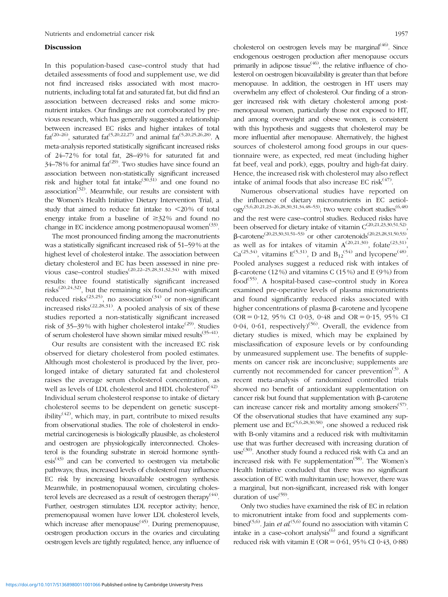#### **Discussion**

In this population-based case–control study that had detailed assessments of food and supplement use, we did not find increased risks associated with most macronutrients, including total fat and saturated fat, but did find an association between decreased risks and some micronutrient intakes. Our findings are not corroborated by previous research, which has generally suggested a relationship between increased EC risks and higher intakes of total fat<sup>(20–26)</sup>, saturated fat<sup>(5,20,22,27)</sup> and animal fat<sup>(5,20,25,26,28)</sup>. A meta-analysis reported statistically significant increased risks of 24–72 % for total fat, 28–49 % for saturated fat and  $34-78\%$  for animal fat<sup>(29)</sup>. Two studies have since found an association between non-statistically significant increased risk and higher total fat intake $^{(30,31)}$  and one found no association<sup>(32)</sup>. Meanwhile, our results are consistent with the Women's Health Initiative Dietary Intervention Trial, a study that aimed to reduce fat intake to  $\leq$ 20% of total energy intake from a baseline of  $\geq 32\%$  and found no change in EC incidence among postmenopausal women<sup> $(33)$ </sup>.

The most pronounced finding among the macronutrients was a statistically significant increased risk of 51–59 % at the highest level of cholesterol intake. The association between dietary cholesterol and EC has been assessed in nine previous case–control studies(20,22–25,28,31,32,34) with mixed results: three found statistically significant increased risks<sup> $(20,24,32)$ </sup>, but the remaining six found non-significant reduced risks<sup>(23,25)</sup>, no association<sup>(34)</sup> or non-significant increased risks<sup> $(22,28,31)$ </sup>. A pooled analysis of six of these studies reported a non-statistically significant increased risk of 35–39% with higher cholesterol intake<sup>(29)</sup>. Studies of serum cholesterol have shown similar mixed results<sup>(35–41)</sup>.

Our results are consistent with the increased EC risk observed for dietary cholesterol from pooled estimates. Although most cholesterol is produced by the liver, prolonged intake of dietary saturated fat and cholesterol raises the average serum cholesterol concentration, as well as levels of LDL cholesterol and HDL cholesterol<sup>(42)</sup>. Individual serum cholesterol response to intake of dietary cholesterol seems to be dependent on genetic susceptibility<sup> $(42)$ </sup>, which may, in part, contribute to mixed results from observational studies. The role of cholesterol in endometrial carcinogenesis is biologically plausible, as cholesterol and oestrogen are physiologically interconnected. Cholesterol is the founding substrate in steroid hormone synthesis<sup>(43)</sup> and can be converted to oestrogen via metabolic pathways; thus, increased levels of cholesterol may influence EC risk by increasing bioavailable oestrogen synthesis. Meanwhile, in postmenopausal women, circulating cholesterol levels are decreased as a result of oestrogen therapy<sup> $(44)$ </sup>. Further, oestrogen stimulates LDL receptor activity; hence, premenopausal women have lower LDL cholesterol levels, which increase after menopause<sup>(45)</sup>. During premenopause, oestrogen production occurs in the ovaries and circulating oestrogen levels are tightly regulated; hence, any influence of cholesterol on oestrogen levels may be marginal $(46)$ . Since endogenous oestrogen production after menopause occurs primarily in adipose tissue<sup> $(46)$ </sup>, the relative influence of cholesterol on oestrogen bioavailability is greater than that before menopause. In addition, the oestrogen in HT users may overwhelm any effect of cholesterol. Our finding of a stronger increased risk with dietary cholesterol among postmenopausal women, particularly those not exposed to HT, and among overweight and obese women, is consistent with this hypothesis and suggests that cholesterol may be more influential after menopause. Alternatively, the highest sources of cholesterol among food groups in our questionnaire were, as expected, red meat (including higher fat beef, veal and pork), eggs, poultry and high-fat dairy. Hence, the increased risk with cholesterol may also reflect intake of animal foods that also increase EC risk $(47)$ .

Numerous observational studies have reported on the influence of dietary micronutrients in EC aetiology(5,6,20,21,23–26,28,30,31,34,48–53); two were cohort studies(6,48) and the rest were case–control studies. Reduced risks have been observed for dietary intake of vitamin  $C^{(20,21,23,30,51,52)}$ .  $\beta$ -carotene<sup>(20,23,30,31,51–53)</sup> or other carotenoids<sup>(20,23,28,31,50,53)</sup>, as well as for intakes of vitamin  $A^{(20,21,30)}$ , folate<sup>(23,31)</sup>,  $Ca^{(25,34)}$ , vitamins  $E^{(5,31)}$ , D and  $B_{12}^{(54)}$  and lycopene<sup>(48)</sup>. Pooled analyses suggest a reduced risk with intakes of  $\beta$ -carotene (12%) and vitamins C (15%) and E (9%) from food<sup>(55)</sup>. A hospital-based case–control study in Korea examined pre-operative levels of plasma micronutrients and found significantly reduced risks associated with higher concentrations of plasma  $\beta$ -carotene and lycopene  $(OR = 0.12, 95\% \text{ CI } 0.03, 0.48 \text{ and } OR = 0.15, 95\% \text{ CI}$ 0.04, 0.61, respectively)<sup>(56)</sup>. Overall, the evidence from dietary studies is mixed, which may be explained by misclassification of exposure levels or by confounding by unmeasured supplement use. The benefits of supplements on cancer risk are inconclusive; supplements are currently not recommended for cancer prevention<sup>(3)</sup>. A recent meta-analysis of randomized controlled trials showed no benefit of antioxidant supplementation on cancer risk but found that supplementation with  $\beta$ -carotene can increase cancer risk and mortality among smokers<sup> $(57)$ </sup>. Of the observational studies that have examined any supplement use and  $EC^{(5,6,28,30,58)}$ , one showed a reduced risk with B-only vitamins and a reduced risk with multivitamin use that was further decreased with increasing duration of use<sup> $(30)$ </sup>. Another study found a reduced risk with Ca and an increased risk with Fe supplementation<sup> $(58)$ </sup>. The Women's Health Initiative concluded that there was no significant association of EC with multivitamin use; however, there was a marginal, but non-significant, increased risk with longer duration of use $(59)$ .

Only two studies have examined the risk of EC in relation to micronutrient intake from food and supplements combined<sup>(5,6)</sup>. Jain *et al.*<sup>(5,6)</sup> found no association with vitamin C intake in a case–cohort analysis $^{(6)}$  and found a significant reduced risk with vitamin E (OR =  $0.61$ , 95 % CI  $0.43$ ,  $0.88$ )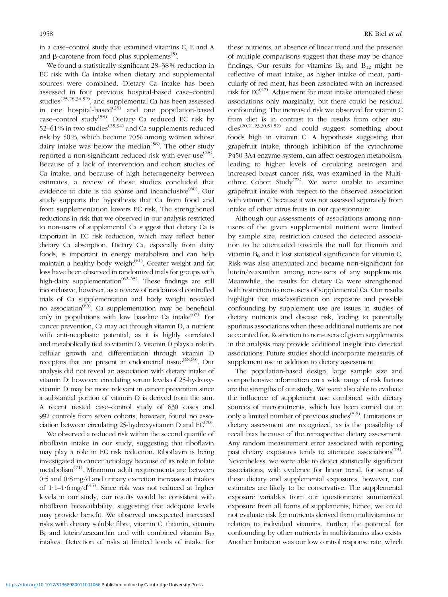in a case–control study that examined vitamins C, E and A and  $\beta$ -carotene from food plus supplements<sup>(5)</sup>.

We found a statistically significant 28–38 % reduction in EC risk with Ca intake when dietary and supplemental sources were combined. Dietary Ca intake has been assessed in four previous hospital-based case–control studies(25,28,34,52), and supplemental Ca has been assessed in one hospital-based $(28)$  and one population-based case–control study<sup>(58)</sup>. Dietary Ca reduced EC risk by 52–61% in two studies<sup> $(25,34)$ </sup> and Ca supplements reduced risk by 50 %, which became 70 % among women whose dairy intake was below the median<sup> $(58)$ </sup>. The other study reported a non-significant reduced risk with ever use<sup> $(28)$ </sup>. Because of a lack of intervention and cohort studies of Ca intake, and because of high heterogeneity between estimates, a review of these studies concluded that evidence to date is too sparse and inconclusive $(60)$ . Our study supports the hypothesis that Ca from food and from supplementation lowers EC risk. The strengthened reductions in risk that we observed in our analysis restricted to non-users of supplemental Ca suggest that dietary Ca is important in EC risk reduction, which may reflect better dietary Ca absorption. Dietary Ca, especially from dairy foods, is important in energy metabolism and can help maintain a healthy body weight<sup>(61)</sup>. Greater weight and fat loss have been observed in randomized trials for groups with high-dairy supplementation<sup> $(62-65)$ </sup>. These findings are still inconclusive, however, as a review of randomized controlled trials of Ca supplementation and body weight revealed no association<sup>(66)</sup>. Ca supplementation may be beneficial only in populations with low baseline Ca intake $(67)$ . For cancer prevention, Ca may act through vitamin D, a nutrient with anti-neoplastic potential, as it is highly correlated and metabolically tied to vitamin D. Vitamin D plays a role in cellular growth and differentiation through vitamin D receptors that are present in endometrial tissue<sup>(68,69)</sup>. Our analysis did not reveal an association with dietary intake of vitamin D; however, circulating serum levels of 25-hydroxyvitamin D may be more relevant in cancer prevention since a substantial portion of vitamin D is derived from the sun. A recent nested case–control study of 830 cases and 992 controls from seven cohorts, however, found no association between circulating 25-hydroxyvitamin D and  $EC^{(70)}$ .

We observed a reduced risk within the second quartile of riboflavin intake in our study, suggesting that riboflavin may play a role in EC risk reduction. Riboflavin is being investigated in cancer aetiology because of its role in folate metabolism(71). Minimum adult requirements are between 0?5 and 0?8 mg/d and urinary excretion increases at intakes of 1.1–1.6 mg/d<sup>(45)</sup>. Since risk was not reduced at higher levels in our study, our results would be consistent with riboflavin bioavailability, suggesting that adequate levels may provide benefit. We observed unexpected increased risks with dietary soluble fibre, vitamin C, thiamin, vitamin  $B_6$  and lutein/zeaxanthin and with combined vitamin  $B_{12}$ intakes. Detection of risks at limited levels of intake for these nutrients, an absence of linear trend and the presence of multiple comparisons suggest that these may be chance findings. Our results for vitamins  $B_6$  and  $B_{12}$  might be reflective of meat intake, as higher intake of meat, particularly of red meat, has been associated with an increased risk for  $EC^{(47)}$ . Adjustment for meat intake attenuated these associations only marginally, but there could be residual confounding. The increased risk we observed for vitamin C from diet is in contrast to the results from other studies(20,21,23,30,51,52) and could suggest something about foods high in vitamin C. A hypothesis suggesting that grapefruit intake, through inhibition of the cytochrome P450 3A4 enzyme system, can affect oestrogen metabolism, leading to higher levels of circulating oestrogen and increased breast cancer risk, was examined in the Multiethnic Cohort Study<sup>(72)</sup>. We were unable to examine grapefruit intake with respect to the observed association with vitamin C because it was not assessed separately from intake of other citrus fruits in our questionnaire.

Although our assessments of associations among nonusers of the given supplemental nutrient were limited by sample size, restriction caused the detected association to be attenuated towards the null for thiamin and vitamin  $B_6$  and it lost statistical significance for vitamin C. Risk was also attenuated and became non-significant for lutein/zeaxanthin among non-users of any supplements. Meanwhile, the results for dietary Ca were strengthened with restriction to non-users of supplemental Ca. Our results highlight that misclassification on exposure and possible confounding by supplement use are issues in studies of dietary nutrients and disease risk, leading to potentially spurious associations when these additional nutrients are not accounted for. Restriction to non-users of given supplements in the analysis may provide additional insight into detected associations. Future studies should incorporate measures of supplement use in addition to dietary assessment.

The population-based design, large sample size and comprehensive information on a wide range of risk factors are the strengths of our study. We were also able to evaluate the influence of supplement use combined with dietary sources of micronutrients, which has been carried out in only a limited number of previous studies<sup> $(5,6)$ </sup>. Limitations in dietary assessment are recognized, as is the possibility of recall bias because of the retrospective dietary assessment. Any random measurement error associated with reporting past dietary exposures tends to attenuate associations<sup> $(73)$ </sup>. Nevertheless, we were able to detect statistically significant associations, with evidence for linear trend, for some of these dietary and supplemental exposures; however, our estimates are likely to be conservative. The supplemental exposure variables from our questionnaire summarized exposure from all forms of supplements; hence, we could not evaluate risk for nutrients derived from multivitamins in relation to individual vitamins. Further, the potential for confounding by other nutrients in multivitamins also exists. Another limitation was our low control response rate, which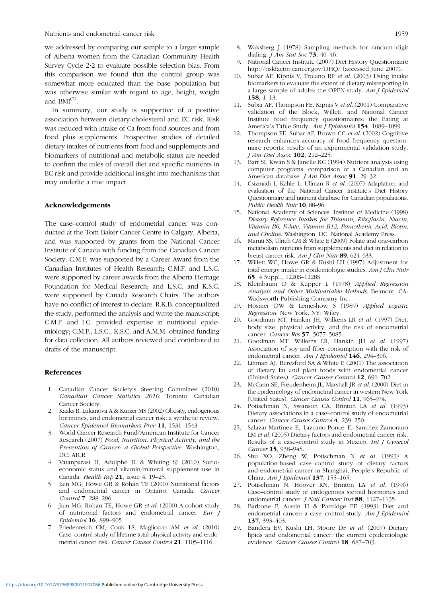we addressed by comparing our sample to a larger sample of Alberta women from the Canadian Community Health Survey Cycle 2?2 to evaluate possible selection bias. From this comparison we found that the control group was somewhat more educated than the base population but was otherwise similar with regard to age, height, weight and  $BMI^{(7)}$ .

In summary, our study is supportive of a positive association between dietary cholesterol and EC risk. Risk was reduced with intake of Ca from food sources and from food plus supplements. Prospective studies of detailed dietary intakes of nutrients from food and supplements and biomarkers of nutritional and metabolic status are needed to confirm the roles of overall diet and specific nutrients in EC risk and provide additional insight into mechanisms that may underlie a true impact.

## Acknowledgements

The case–control study of endometrial cancer was conducted at the Tom Baker Cancer Centre in Calgary, Alberta, and was supported by grants from the National Cancer Institute of Canada with funding from the Canadian Cancer Society. C.M.F. was supported by a Career Award from the Canadian Institutes of Health Research; C.M.F. and L.S.C. were supported by career awards from the Alberta Heritage Foundation for Medical Research; and L.S.C. and K.S.C. were supported by Canada Research Chairs. The authors have no conflict of interest to declare. R.K.B. conceptualized the study, performed the analysis and wrote the manuscript; C.M.F. and I.C. provided expertise in nutritional epidemiology; C.M.F., L.S.C., K.S.C. and A.M.M. obtained funding for data collection. All authors reviewed and contributed to drafts of the manuscript.

## References

- 1. Canadian Cancer Society's Steering Committee (2010) Canadian Cancer Statistics 2010. Toronto: Canadian Cancer Society.
- 2. Kaaks R, Lukanova A & Kurzer MS (2002) Obesity, endogenous hormones, and endometrial cancer risk: a synthetic review. Cancer Epidemiol Biomarkers Prev 11, 1531–1543.
- 3. World Cancer Research Fund/American Institute for Cancer Research (2007) Food, Nutrition, Physical Activity, and the Prevention of Cancer: a Global Perspective. Washington, DC: AICR.
- 4. Vatanparast H, Adolphe JL & Whiting SJ (2010) Socioeconomic status and vitamin/mineral supplement use in Canada. Health Rep 21, issue 4, 19-25.
- 5. Jain MG, Howe GR & Rohan TE (2000) Nutritional factors and endometrial cancer in Ontario, Canada. Cancer Control 7, 288–296.
- 6. Jain MG, Rohan TE, Howe GR et al. (2000) A cohort study of nutritional factors and endometrial cancer. Eur J Epidemiol 16, 899–905.
- 7. Friedenreich CM, Cook LS, Magliocco AM et al. (2010) Case–control study of lifetime total physical activity and endometrial cancer risk. Cancer Causes Control 21, 1105–1116.
- Waksberg J (1978) Sampling methods for random digit dialing.  $JAm$  Stat Soc 73, 40-46.
- 9. National Cancer Institute (2007) Diet History Questionnaire http://riskfactor.cancer.gov/DHQ/ (accessed June 2007).
- 10. Subar AF, Kipnis V, Troiano RP et al. (2003) Using intake biomarkers to evaluate the extent of dietary misreporting in a large sample of adults: the OPEN study. Am J Epidemiol 158, 1–13.
- 11. Subar AF, Thompson FE, Kipnis V et al. (2001) Comparative validation of the Block, Willett, and National Cancer Institute food frequency questionnaires: the Eating at America's Table Study. Am J Epidemiol 154, 1089-1099.
- 12. Thompson FE, Subar AF, Brown CC et al. (2002) Cognitive research enhances accuracy of food frequency questionnaire reports: results of an experimental validation study. J Am Diet Assoc 102, 212–225.
- 13. Barr SI, Kwan S & Janelle KC (1994) Nutrient analysis using computer programs: comparison of a Canadian and an American database. J Am Diet Assoc 91, 29–32.
- 14. Csizmadi I, Kahle L, Ullman R et al. (2007) Adaptation and evaluation of the National Cancer Institute's Diet History Questionnaire and nutrient database for Canadian populations. Public Health Nutr 10, 88–96.
- 15. National Academy of Sciences, Institute of Medicine (1998) Dietary Reference Intakes for Thiamin, Riboflavin, Niacin, Vitamin B6, Folate, Vitamin B12, Pantothenic Acid, Biotin, and Choline. Washington, DC: National Academy Press.
- 16. Maruti SS, Ulrich CM & White E (2009) Folate and one-carbon metabolism nutrients from supplements and diet in relation to breast cancer risk. Am J Clin Nutr 89, 624–633.
- 17. Willett WC, Howe GR & Kushi LH (1997) Adjustment for total energy intake in epidemiologic studies. Am J Clin Nutr 65, 4 Suppl., 1220S–1228S.
- Kleinbaum D & Kupper L (1978) Applied Regression Analysis and Other Multivariable Methods. Belmont, CA: Wadsworth Publishing Company Inc.
- 19. Hosmer DW & Lemeshow S (1989) Applied Logistic Regression. New York, NY: Wiley.
- 20. Goodman MT, Hankin JH, Wilkens LR et al. (1997) Diet, body size, physical activity, and the risk of endometrial cancer. Cancer Res 57, 5077–5085.
- 21. Goodman MT, Wilkens LR, Hankin JH et al. (1997) Association of soy and fiber consumption with the risk of endometrial cancer. Am J Epidemiol 146, 294-306.
- 22. Littman AJ, Beresford SA & White E (2001) The association of dietary fat and plant foods with endometrial cancer (United States). Cancer Causes Control 12, 691–702.
- 23. McCann SE, Freudenheim JL, Marshall JR et al. (2000) Diet in the epidemiology of endometrial cancer in western New York (United States). Cancer Causes Control 11, 965–974.
- 24. Potischman N, Swanson CA, Brinton LA et al. (1993) Dietary associations in a case–control study of endometrial cancer. Cancer Causes Control 4, 239–250.
- 25. Salazar-Martinez E, Lazcano-Ponce E, Sanchez-Zamorano LM et al. (2005) Dietary factors and endometrial cancer risk. Results of a case–control study in Mexico. Int J Gynecol Cancer **15**, 938-945.
- 26. Shu XO, Zheng W, Potischman N et al. (1993) A population-based case–control study of dietary factors and endometrial cancer in Shanghai, People's Republic of China. Am J Epidemiol 137, 155–165.
- 27. Potischman N, Hoover RN, Brinton LA et al. (1996) Case–control study of endogenous steroid hormones and endometrial cancer. *J Natl Cancer Inst* 88, 1127-1135.
- 28. Barbone F, Austin H & Partridge EE (1993) Diet and endometrial cancer: a case–control study. Am J Epidemiol 137, 393–403.
- 29. Bandera EV, Kushi LH, Moore DF et al. (2007) Dietary lipids and endometrial cancer: the current epidemiologic evidence. Cancer Causes Control 18, 687–703.